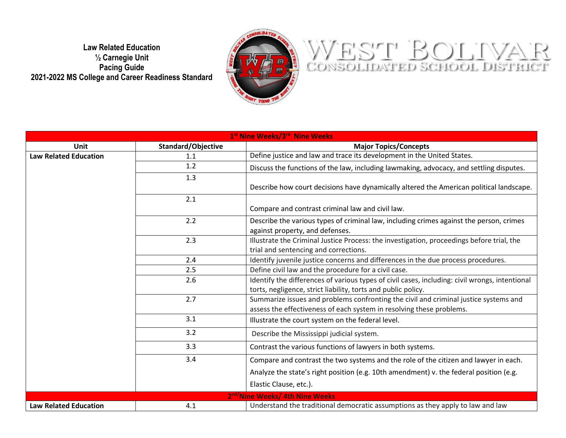**Law Related Education ½ Carnegie Unit Pacing Guide 2021-2022 MS College and Career Readiness Standard**



## WEST BOLIVAR

| 1st Nine Weeks/3rd Nine Weeks |                    |                                                                                                |
|-------------------------------|--------------------|------------------------------------------------------------------------------------------------|
| <b>Unit</b>                   | Standard/Objective | <b>Major Topics/Concepts</b>                                                                   |
| <b>Law Related Education</b>  | 1.1                | Define justice and law and trace its development in the United States.                         |
|                               | 1.2                | Discuss the functions of the law, including lawmaking, advocacy, and settling disputes.        |
|                               | 1.3                |                                                                                                |
|                               |                    | Describe how court decisions have dynamically altered the American political landscape.        |
|                               | 2.1                |                                                                                                |
|                               |                    | Compare and contrast criminal law and civil law.                                               |
|                               | 2.2                | Describe the various types of criminal law, including crimes against the person, crimes        |
|                               |                    | against property, and defenses.                                                                |
|                               | 2.3                | Illustrate the Criminal Justice Process: the investigation, proceedings before trial, the      |
|                               |                    | trial and sentencing and corrections.                                                          |
|                               | 2.4                | Identify juvenile justice concerns and differences in the due process procedures.              |
|                               | 2.5                | Define civil law and the procedure for a civil case.                                           |
|                               | 2.6                | Identify the differences of various types of civil cases, including: civil wrongs, intentional |
|                               |                    | torts, negligence, strict liability, torts and public policy.                                  |
|                               | 2.7                | Summarize issues and problems confronting the civil and criminal justice systems and           |
|                               |                    | assess the effectiveness of each system in resolving these problems.                           |
|                               | 3.1                | Illustrate the court system on the federal level.                                              |
|                               | 3.2                | Describe the Mississippi judicial system.                                                      |
|                               | 3.3                | Contrast the various functions of lawyers in both systems.                                     |
|                               | 3.4                | Compare and contrast the two systems and the role of the citizen and lawyer in each.           |
|                               |                    | Analyze the state's right position (e.g. 10th amendment) v. the federal position (e.g.         |
|                               |                    | Elastic Clause, etc.).                                                                         |
|                               |                    | 2 <sup>nd/</sup> Nine Weeks/ 4th Nine Weeks                                                    |
| <b>Law Related Education</b>  | 4.1                | Understand the traditional democratic assumptions as they apply to law and law                 |